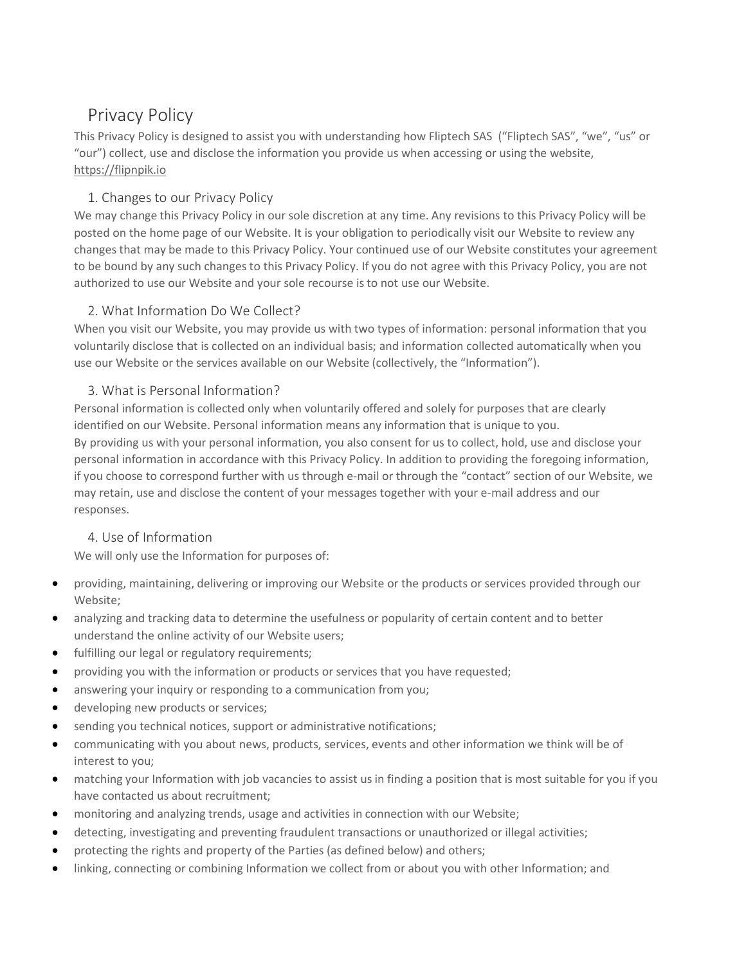# Privacy Policy

This Privacy Policy is designed to assist you with understanding how Fliptech SAS ("Fliptech SAS", "we", "us" or "our") collect, use and disclose the information you provide us when accessing or using the website, https://flipnpik.io

## 1. Changes to our Privacy Policy

We may change this Privacy Policy in our sole discretion at any time. Any revisions to this Privacy Policy will be posted on the home page of our Website. It is your obligation to periodically visit our Website to review any changes that may be made to this Privacy Policy. Your continued use of our Website constitutes your agreement to be bound by any such changes to this Privacy Policy. If you do not agree with this Privacy Policy, you are not authorized to use our Website and your sole recourse is to not use our Website.

## 2. What Information Do We Collect?

When you visit our Website, you may provide us with two types of information: personal information that you voluntarily disclose that is collected on an individual basis; and information collected automatically when you use our Website or the services available on our Website (collectively, the "Information").

## 3. What is Personal Information?

Personal information is collected only when voluntarily offered and solely for purposes that are clearly identified on our Website. Personal information means any information that is unique to you. By providing us with your personal information, you also consent for us to collect, hold, use and disclose your personal information in accordance with this Privacy Policy. In addition to providing the foregoing information, if you choose to correspond further with us through e-mail or through the "contact" section of our Website, we may retain, use and disclose the content of your messages together with your e-mail address and our responses.

# 4. Use of Information

We will only use the Information for purposes of:

- providing, maintaining, delivering or improving our Website or the products or services provided through our Website;
- analyzing and tracking data to determine the usefulness or popularity of certain content and to better understand the online activity of our Website users;
- fulfilling our legal or regulatory requirements;
- providing you with the information or products or services that you have requested;
- answering your inquiry or responding to a communication from you;
- developing new products or services;
- sending you technical notices, support or administrative notifications;
- communicating with you about news, products, services, events and other information we think will be of interest to you;
- matching your Information with job vacancies to assist us in finding a position that is most suitable for you if you have contacted us about recruitment;
- monitoring and analyzing trends, usage and activities in connection with our Website;
- detecting, investigating and preventing fraudulent transactions or unauthorized or illegal activities;
- protecting the rights and property of the Parties (as defined below) and others;
- linking, connecting or combining Information we collect from or about you with other Information; and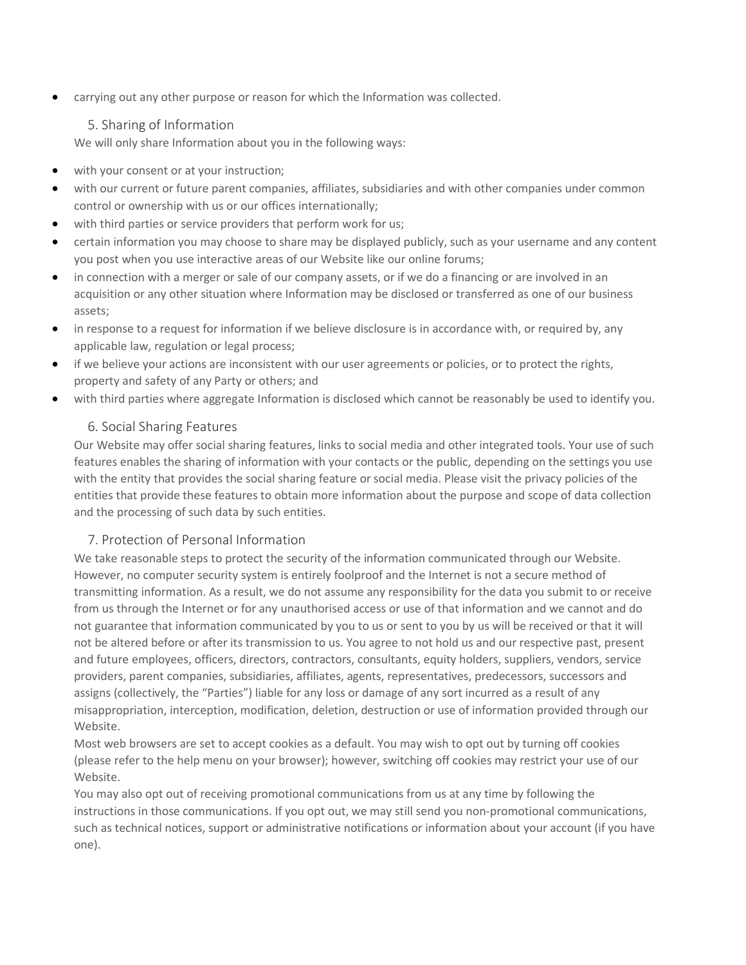• carrying out any other purpose or reason for which the Information was collected.

#### 5. Sharing of Information

We will only share Information about you in the following ways:

- with your consent or at your instruction;
- with our current or future parent companies, affiliates, subsidiaries and with other companies under common control or ownership with us or our offices internationally;
- with third parties or service providers that perform work for us;
- certain information you may choose to share may be displayed publicly, such as your username and any content you post when you use interactive areas of our Website like our online forums;
- in connection with a merger or sale of our company assets, or if we do a financing or are involved in an acquisition or any other situation where Information may be disclosed or transferred as one of our business assets;
- in response to a request for information if we believe disclosure is in accordance with, or required by, any applicable law, regulation or legal process;
- if we believe your actions are inconsistent with our user agreements or policies, or to protect the rights, property and safety of any Party or others; and
- with third parties where aggregate Information is disclosed which cannot be reasonably be used to identify you.

### 6. Social Sharing Features

Our Website may offer social sharing features, links to social media and other integrated tools. Your use of such features enables the sharing of information with your contacts or the public, depending on the settings you use with the entity that provides the social sharing feature or social media. Please visit the privacy policies of the entities that provide these features to obtain more information about the purpose and scope of data collection and the processing of such data by such entities.

#### 7. Protection of Personal Information

We take reasonable steps to protect the security of the information communicated through our Website. However, no computer security system is entirely foolproof and the Internet is not a secure method of transmitting information. As a result, we do not assume any responsibility for the data you submit to or receive from us through the Internet or for any unauthorised access or use of that information and we cannot and do not guarantee that information communicated by you to us or sent to you by us will be received or that it will not be altered before or after its transmission to us. You agree to not hold us and our respective past, present and future employees, officers, directors, contractors, consultants, equity holders, suppliers, vendors, service providers, parent companies, subsidiaries, affiliates, agents, representatives, predecessors, successors and assigns (collectively, the "Parties") liable for any loss or damage of any sort incurred as a result of any misappropriation, interception, modification, deletion, destruction or use of information provided through our Website.

Most web browsers are set to accept cookies as a default. You may wish to opt out by turning off cookies (please refer to the help menu on your browser); however, switching off cookies may restrict your use of our Website.

You may also opt out of receiving promotional communications from us at any time by following the instructions in those communications. If you opt out, we may still send you non-promotional communications, such as technical notices, support or administrative notifications or information about your account (if you have one).